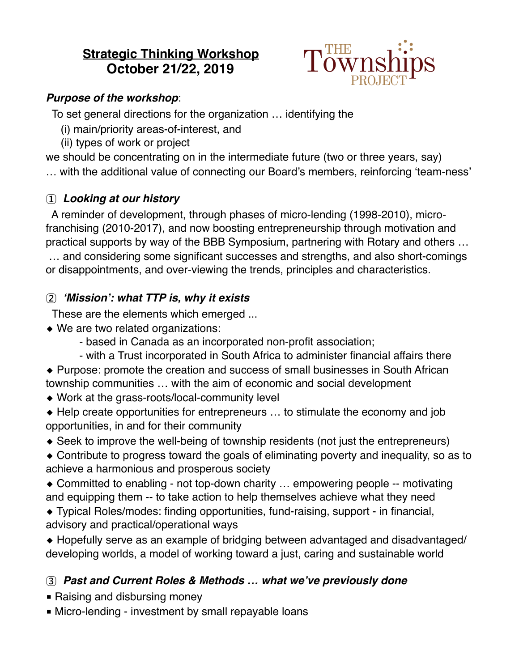# **Strategic Thinking Workshop October 21/22, 2019**



### *Purpose of the workshop*:

To set general directions for the organization … identifying the

- (i) main/priority areas-of-interest, and
- (ii) types of work or project

we should be concentrating on in the intermediate future (two or three years, say)

… with the additional value of connecting our Board's members, reinforcing 'team-ness'

## 1 *Looking at our history*

 A reminder of development, through phases of micro-lending (1998-2010), microfranchising (2010-2017), and now boosting entrepreneurship through motivation and practical supports by way of the BBB Symposium, partnering with Rotary and others …

 … and considering some significant successes and strengths, and also short-comings or disappointments, and over-viewing the trends, principles and characteristics.

## 2*'Mission': what TTP is, why it exists*

These are the elements which emerged ...

- ◆ We are two related organizations:
	- based in Canada as an incorporated non-profit association;
	- with a Trust incorporated in South Africa to administer financial affairs there

◆ Purpose: promote the creation and success of small businesses in South African township communities … with the aim of economic and social development

- ◆ Work at the grass-roots/local-community level
- ◆ Help create opportunities for entrepreneurs ... to stimulate the economy and job opportunities, in and for their community
- ◆ Seek to improve the well-being of township residents (not just the entrepreneurs)
- ◆ Contribute to progress toward the goals of eliminating poverty and inequality, so as to achieve a harmonious and prosperous society

◆ Committed to enabling - not top-down charity … empowering people -- motivating and equipping them -- to take action to help themselves achieve what they need

◆ Typical Roles/modes: finding opportunities, fund-raising, support - in financial, advisory and practical/operational ways

◆ Hopefully serve as an example of bridging between advantaged and disadvantaged/ developing worlds, a model of working toward a just, caring and sustainable world

## 3*Past and Current Roles & Methods … what we've previously done*

- Raising and disbursing money
- Micro-lending investment by small repayable loans